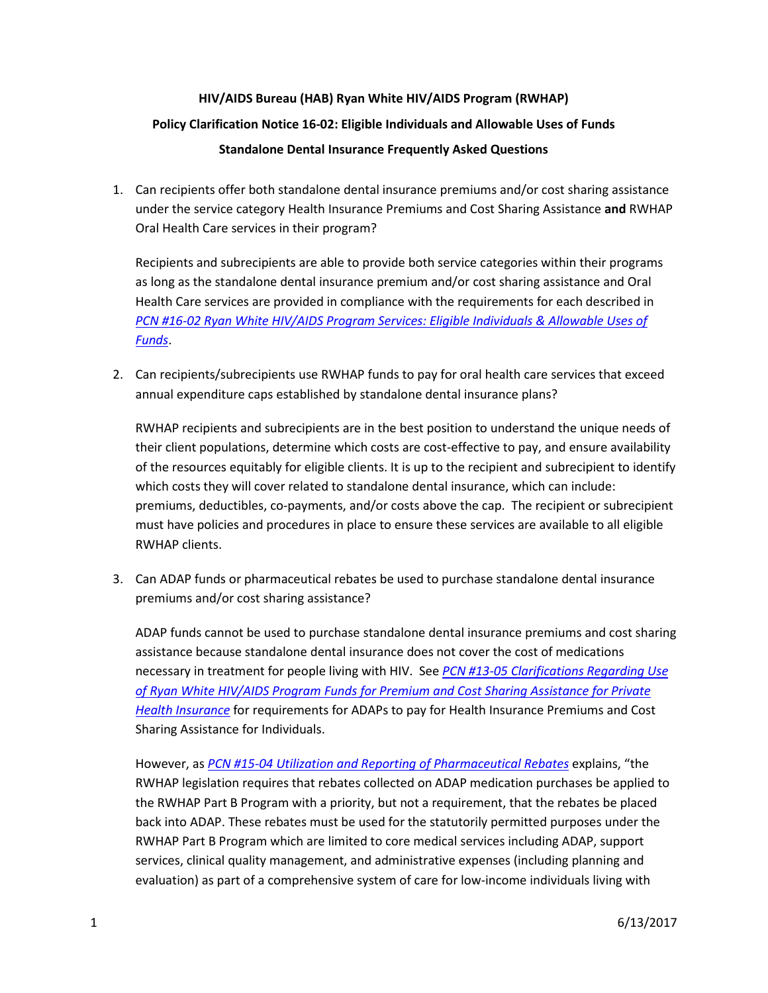## **HIV/AIDS Bureau (HAB) Ryan White HIV/AIDS Program (RWHAP) Policy Clarification Notice 16-02: Eligible Individuals and Allowable Uses of Funds Standalone Dental Insurance Frequently Asked Questions**

1. Can recipients offer both standalone dental insurance premiums and/or cost sharing assistance under the service category Health Insurance Premiums and Cost Sharing Assistance **and** RWHAP Oral Health Care services in their program?

Recipients and subrecipients are able to provide both service categories within their programs as long as the standalone dental insurance premium and/or cost sharing assistance and Oral Health Care services are provided in compliance with the requirements for each described in *PCN #16-02 [Ryan White HIV/AIDS Program Services: Eligible Individuals & Allowable Uses of](http://hab.hrsa.gov/sites/default/files/hab/Global/service_category_pcn_16-02_final.pdf)  [Funds](http://hab.hrsa.gov/sites/default/files/hab/Global/service_category_pcn_16-02_final.pdf)*.

2. Can recipients/subrecipients use RWHAP funds to pay for oral health care services that exceed annual expenditure caps established by standalone dental insurance plans?

RWHAP recipients and subrecipients are in the best position to understand the unique needs of their client populations, determine which costs are cost-effective to pay, and ensure availability of the resources equitably for eligible clients. It is up to the recipient and subrecipient to identify which costs they will cover related to standalone dental insurance, which can include: premiums, deductibles, co-payments, and/or costs above the cap. The recipient or subrecipient must have policies and procedures in place to ensure these services are available to all eligible RWHAP clients.

3. Can ADAP funds or pharmaceutical rebates be used to purchase standalone dental insurance premiums and/or cost sharing assistance?

ADAP funds cannot be used to purchase standalone dental insurance premiums and cost sharing assistance because standalone dental insurance does not cover the cost of medications necessary in treatment for people living with HIV. See *[PCN #13-05 Clarifications Regarding Use](http://hab.hrsa.gov/sites/default/files/hab/Global/pcn1305premiumcostsharing.pdf)  [of Ryan White HIV/AIDS Program Funds for Premium and Cost Sharing Assistance for Private](http://hab.hrsa.gov/sites/default/files/hab/Global/pcn1305premiumcostsharing.pdf)  [Health Insurance](http://hab.hrsa.gov/sites/default/files/hab/Global/pcn1305premiumcostsharing.pdf)* for requirements for ADAPs to pay for Health Insurance Premiums and Cost Sharing Assistance for Individuals.

However, as *PCN #15-04 [Utilization and Reporting of Pharmaceutical](http://hab.hrsa.gov/sites/default/files/hab/Global/pcn_15-04_pharmaceutical_rebates.pdf) Rebates* explains, "the RWHAP legislation requires that rebates collected on ADAP medication purchases be applied to the RWHAP Part B Program with a priority, but not a requirement, that the rebates be placed back into ADAP. These rebates must be used for the statutorily permitted purposes under the RWHAP Part B Program which are limited to core medical services including ADAP, support services, clinical quality management, and administrative expenses (including planning and evaluation) as part of a comprehensive system of care for low-income individuals living with